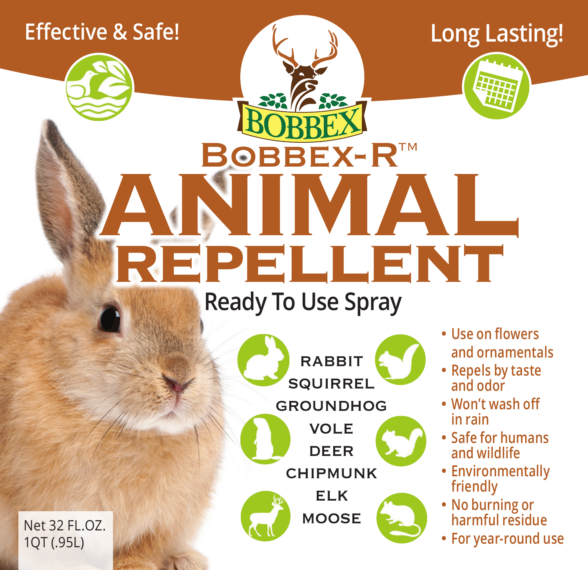## **Effective & Safe!**

## **Long Lasting!**



# **ANIMAL repellent BOBBEX-R™**

## **Ready To Use Spray**





- **• Use on flowers and ornamentals**
- **• Repels by taste and odor**
- **• Won't wash off in rain**
- **• Safe for humans and wildlife**
- **• Environmentally friendly**
- **• No burning or harmful residue**
- **• For year-round use**